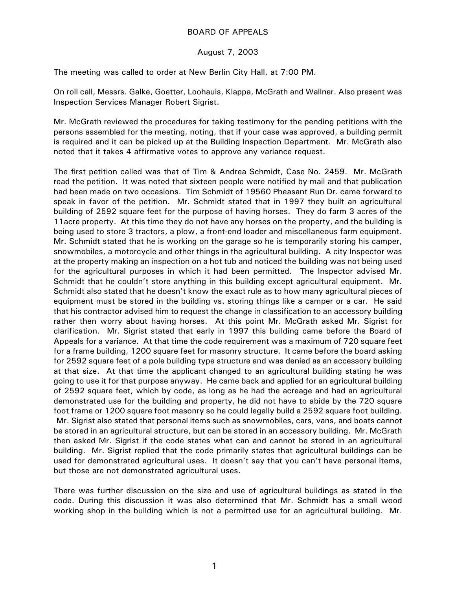## BOARD OF APPEALS

## August 7, 2003

The meeting was called to order at New Berlin City Hall, at 7:00 PM.

On roll call, Messrs. Galke, Goetter, Loohauis, Klappa, McGrath and Wallner. Also present was Inspection Services Manager Robert Sigrist.

Mr. McGrath reviewed the procedures for taking testimony for the pending petitions with the persons assembled for the meeting, noting, that if your case was approved, a building permit is required and it can be picked up at the Building Inspection Department. Mr. McGrath also noted that it takes 4 affirmative votes to approve any variance request.

The first petition called was that of Tim & Andrea Schmidt, Case No. 2459. Mr. McGrath read the petition. It was noted that sixteen people were notified by mail and that publication had been made on two occasions. Tim Schmidt of 19560 Pheasant Run Dr. came forward to speak in favor of the petition. Mr. Schmidt stated that in 1997 they built an agricultural building of 2592 square feet for the purpose of having horses. They do farm 3 acres of the 11acre property. At this time they do not have any horses on the property, and the building is being used to store 3 tractors, a plow, a front-end loader and miscellaneous farm equipment. Mr. Schmidt stated that he is working on the garage so he is temporarily storing his camper, snowmobiles, a motorcycle and other things in the agricultural building. A city Inspector was at the property making an inspection on a hot tub and noticed the building was not being used for the agricultural purposes in which it had been permitted. The Inspector advised Mr. Schmidt that he couldn't store anything in this building except agricultural equipment. Mr. Schmidt also stated that he doesn't know the exact rule as to how many agricultural pieces of equipment must be stored in the building vs. storing things like a camper or a car. He said that his contractor advised him to request the change in classification to an accessory building rather then worry about having horses. At this point Mr. McGrath asked Mr. Sigrist for clarification. Mr. Sigrist stated that early in 1997 this building came before the Board of Appeals for a variance. At that time the code requirement was a maximum of 720 square feet for a frame building, 1200 square feet for masonry structure. It came before the board asking for 2592 square feet of a pole building type structure and was denied as an accessory building at that size. At that time the applicant changed to an agricultural building stating he was going to use it for that purpose anyway. He came back and applied for an agricultural building of 2592 square feet, which by code, as long as he had the acreage and had an agricultural demonstrated use for the building and property, he did not have to abide by the 720 square foot frame or 1200 square foot masonry so he could legally build a 2592 square foot building. Mr. Sigrist also stated that personal items such as snowmobiles, cars, vans, and boats cannot be stored in an agricultural structure, but can be stored in an accessory building. Mr. McGrath then asked Mr. Sigrist if the code states what can and cannot be stored in an agricultural building. Mr. Sigrist replied that the code primarily states that agricultural buildings can be used for demonstrated agricultural uses. It doesn't say that you can't have personal items, but those are not demonstrated agricultural uses.

There was further discussion on the size and use of agricultural buildings as stated in the code. During this discussion it was also determined that Mr. Schmidt has a small wood working shop in the building which is not a permitted use for an agricultural building. Mr.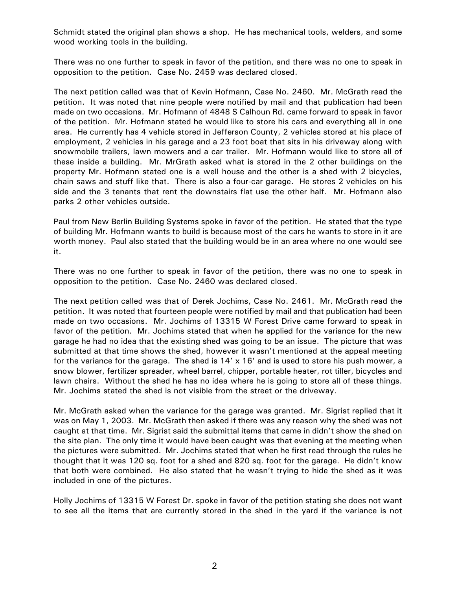Schmidt stated the original plan shows a shop. He has mechanical tools, welders, and some wood working tools in the building.

There was no one further to speak in favor of the petition, and there was no one to speak in opposition to the petition. Case No. 2459 was declared closed.

The next petition called was that of Kevin Hofmann, Case No. 2460. Mr. McGrath read the petition. It was noted that nine people were notified by mail and that publication had been made on two occasions. Mr. Hofmann of 4848 S Calhoun Rd. came forward to speak in favor of the petition. Mr. Hofmann stated he would like to store his cars and everything all in one area. He currently has 4 vehicle stored in Jefferson County, 2 vehicles stored at his place of employment, 2 vehicles in his garage and a 23 foot boat that sits in his driveway along with snowmobile trailers, lawn mowers and a car trailer. Mr. Hofmann would like to store all of these inside a building. Mr. MrGrath asked what is stored in the 2 other buildings on the property Mr. Hofmann stated one is a well house and the other is a shed with 2 bicycles, chain saws and stuff like that. There is also a four-car garage. He stores 2 vehicles on his side and the 3 tenants that rent the downstairs flat use the other half. Mr. Hofmann also parks 2 other vehicles outside.

Paul from New Berlin Building Systems spoke in favor of the petition. He stated that the type of building Mr. Hofmann wants to build is because most of the cars he wants to store in it are worth money. Paul also stated that the building would be in an area where no one would see it.

There was no one further to speak in favor of the petition, there was no one to speak in opposition to the petition. Case No. 2460 was declared closed.

The next petition called was that of Derek Jochims, Case No. 2461. Mr. McGrath read the petition. It was noted that fourteen people were notified by mail and that publication had been made on two occasions. Mr. Jochims of 13315 W Forest Drive came forward to speak in favor of the petition. Mr. Jochims stated that when he applied for the variance for the new garage he had no idea that the existing shed was going to be an issue. The picture that was submitted at that time shows the shed, however it wasn't mentioned at the appeal meeting for the variance for the garage. The shed is  $14' \times 16'$  and is used to store his push mower, a snow blower, fertilizer spreader, wheel barrel, chipper, portable heater, rot tiller, bicycles and lawn chairs. Without the shed he has no idea where he is going to store all of these things. Mr. Jochims stated the shed is not visible from the street or the driveway.

Mr. McGrath asked when the variance for the garage was granted. Mr. Sigrist replied that it was on May 1, 2003. Mr. McGrath then asked if there was any reason why the shed was not caught at that time. Mr. Sigrist said the submittal items that came in didn't show the shed on the site plan. The only time it would have been caught was that evening at the meeting when the pictures were submitted. Mr. Jochims stated that when he first read through the rules he thought that it was 120 sq. foot for a shed and 820 sq. foot for the garage. He didn't know that both were combined. He also stated that he wasn't trying to hide the shed as it was included in one of the pictures.

Holly Jochims of 13315 W Forest Dr. spoke in favor of the petition stating she does not want to see all the items that are currently stored in the shed in the yard if the variance is not